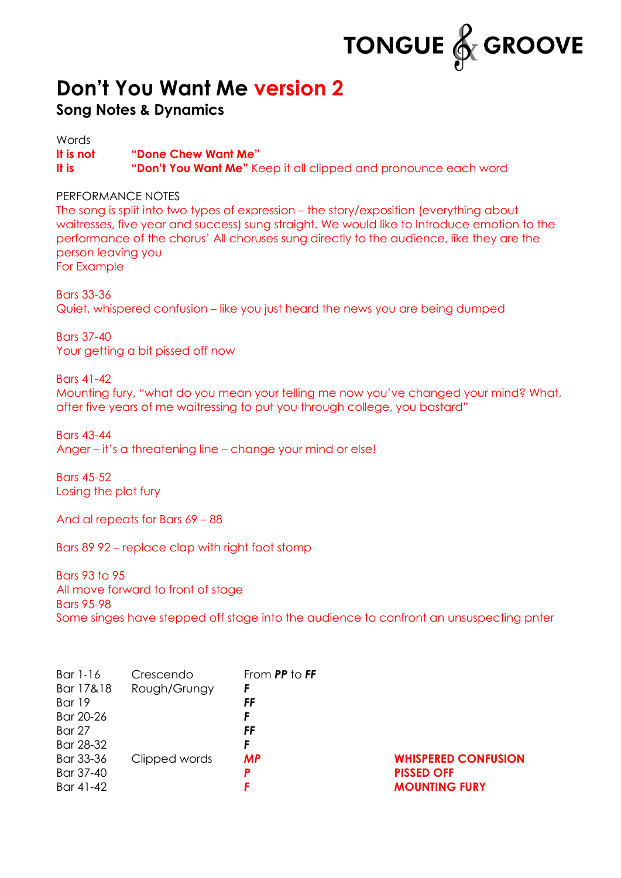

## **Don't You Want Me version 2**

## **Song Notes & Dynamics**

**Words It is not "Done Chew Want Me" It is "Don't You Want Me"** Keep it all clipped and pronounce each word

## PERFORMANCE NOTES

The song is split into two types of expression – the story/exposition (everything about waitresses, five year and success) sung straight. We would like to Introduce emotion to the performance of the chorus' All choruses sung directly to the audience, like they are the person leaving you For Example

Bars 33-36 Quiet, whispered confusion – like you just heard the news you are being dumped

Bars 37-40 Your getting a bit pissed off now

## Bars 41-42

Mounting fury, "what do you mean your telling me now you've changed your mind? What, after five years of me waitressing to put you through college, you bastard"

Bars 43-44 Anger – it's a threatening line – change your mind or else!

Bars 45-52 Losing the plot fury

And al repeats for Bars 69 – 88

Bars 89 92 – replace clap with right foot stomp

Bars 93 to 95 All move forward to front of stage Bars 95-98 Some singes have stepped off stage into the audience to confront an unsuspecting pnter

| Bar 1-16<br>Bar 17&18<br>Bar 19<br>Bar 20-26<br><b>Bar 27</b><br>Bar 28-32 | Crescendo<br>Rough/Grungy | From PP to FF<br>F<br>FF<br>F<br>FF<br>F |                                                                         |
|----------------------------------------------------------------------------|---------------------------|------------------------------------------|-------------------------------------------------------------------------|
| Bar 33-36<br>Bar 37-40<br>Bar 41-42                                        | Clipped words             | <b>MP</b><br>P                           | <b>WHISPERED CONFUSION</b><br><b>PISSED OFF</b><br><b>MOUNTING FURY</b> |